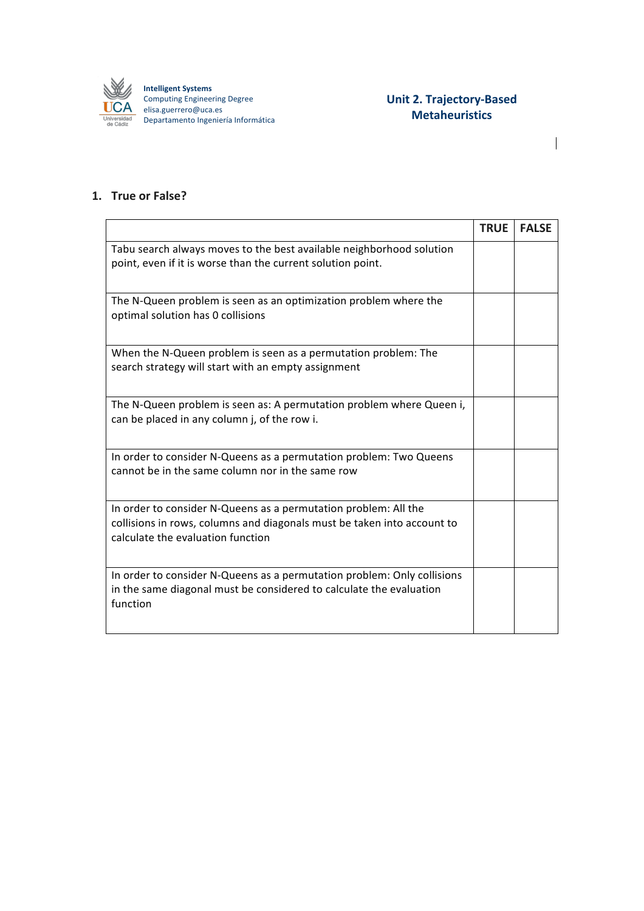

## **Unit 2. Trajectory-Based Metaheuristics**

 $\overline{\phantom{a}}$ 

## **1. True or False?**

|                                                                                                                                                                                 | <b>TRUE</b> | <b>FALSE</b> |
|---------------------------------------------------------------------------------------------------------------------------------------------------------------------------------|-------------|--------------|
| Tabu search always moves to the best available neighborhood solution<br>point, even if it is worse than the current solution point.                                             |             |              |
| The N-Queen problem is seen as an optimization problem where the<br>optimal solution has 0 collisions                                                                           |             |              |
| When the N-Queen problem is seen as a permutation problem: The<br>search strategy will start with an empty assignment                                                           |             |              |
| The N-Queen problem is seen as: A permutation problem where Queen i,<br>can be placed in any column j, of the row i.                                                            |             |              |
| In order to consider N-Queens as a permutation problem: Two Queens<br>cannot be in the same column nor in the same row                                                          |             |              |
| In order to consider N-Queens as a permutation problem: All the<br>collisions in rows, columns and diagonals must be taken into account to<br>calculate the evaluation function |             |              |
| In order to consider N-Queens as a permutation problem: Only collisions<br>in the same diagonal must be considered to calculate the evaluation<br>function                      |             |              |